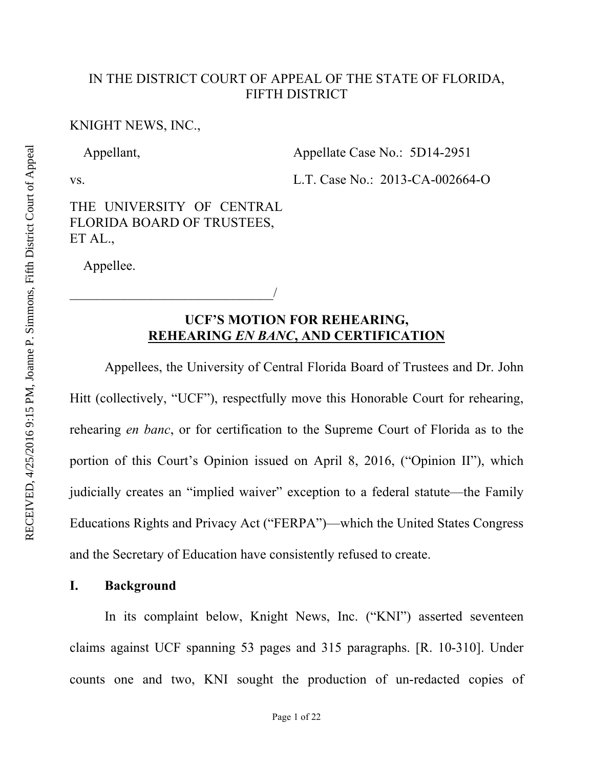#### IN THE DISTRICT COURT OF APPEAL OF THE STATE OF FLORIDA, FIFTH DISTRICT

### KNIGHT NEWS, INC.,

Appellant,

Appellate Case No.: 5D14-2951

vs.

L.T. Case No.: 2013-CA-002664-O

THE UNIVERSITY OF CENTRAL FLORIDA BOARD OF TRUSTEES, ET AL.,

 $\overline{\phantom{a}}$ 

Appellee.

## **UCF'S MOTION FOR REHEARING, REHEARING** *EN BANC***, AND CERTIFICATION**

Appellees, the University of Central Florida Board of Trustees and Dr. John Hitt (collectively, "UCF"), respectfully move this Honorable Court for rehearing, rehearing *en banc*, or for certification to the Supreme Court of Florida as to the portion of this Court's Opinion issued on April 8, 2016, ("Opinion II"), which judicially creates an "implied waiver" exception to a federal statute—the Family Educations Rights and Privacy Act ("FERPA")—which the United States Congress and the Secretary of Education have consistently refused to create.

#### **I. Background**

In its complaint below, Knight News, Inc. ("KNI") asserted seventeen claims against UCF spanning 53 pages and 315 paragraphs. [R. 10-310]. Under counts one and two, KNI sought the production of un-redacted copies of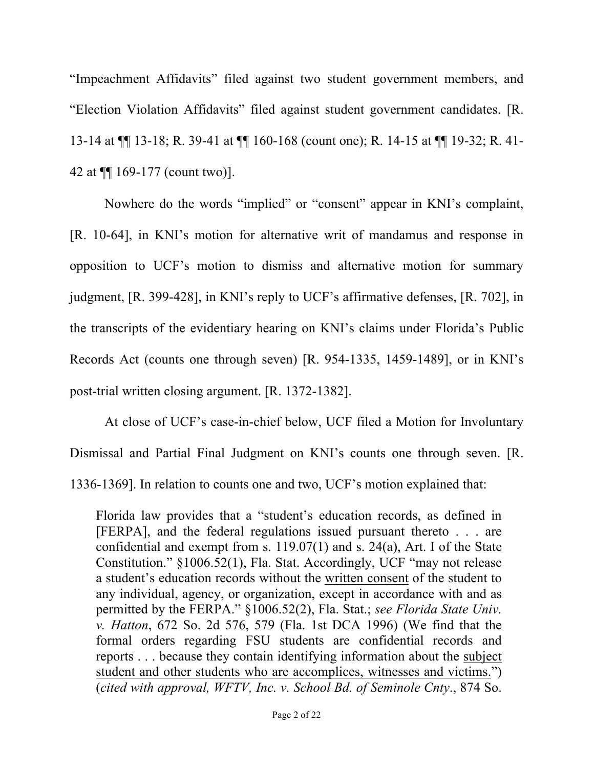"Impeachment Affidavits" filed against two student government members, and "Election Violation Affidavits" filed against student government candidates. [R. 13-14 at ¶¶ 13-18; R. 39-41 at ¶¶ 160-168 (count one); R. 14-15 at ¶¶ 19-32; R. 41- 42 at ¶¶ 169-177 (count two)].

Nowhere do the words "implied" or "consent" appear in KNI's complaint, [R. 10-64], in KNI's motion for alternative writ of mandamus and response in opposition to UCF's motion to dismiss and alternative motion for summary judgment, [R. 399-428], in KNI's reply to UCF's affirmative defenses, [R. 702], in the transcripts of the evidentiary hearing on KNI's claims under Florida's Public Records Act (counts one through seven) [R. 954-1335, 1459-1489], or in KNI's post-trial written closing argument. [R. 1372-1382].

At close of UCF's case-in-chief below, UCF filed a Motion for Involuntary Dismissal and Partial Final Judgment on KNI's counts one through seven. [R. 1336-1369]. In relation to counts one and two, UCF's motion explained that:

Florida law provides that a "student's education records, as defined in [FERPA], and the federal regulations issued pursuant thereto . . . are confidential and exempt from s. 119.07(1) and s. 24(a), Art. I of the State Constitution." §1006.52(1), Fla. Stat. Accordingly, UCF "may not release a student's education records without the written consent of the student to any individual, agency, or organization, except in accordance with and as permitted by the FERPA." §1006.52(2), Fla. Stat.; *see Florida State Univ. v. Hatton*, 672 So. 2d 576, 579 (Fla. 1st DCA 1996) (We find that the formal orders regarding FSU students are confidential records and reports . . . because they contain identifying information about the subject student and other students who are accomplices, witnesses and victims.") (*cited with approval, WFTV, Inc. v. School Bd. of Seminole Cnty*., 874 So.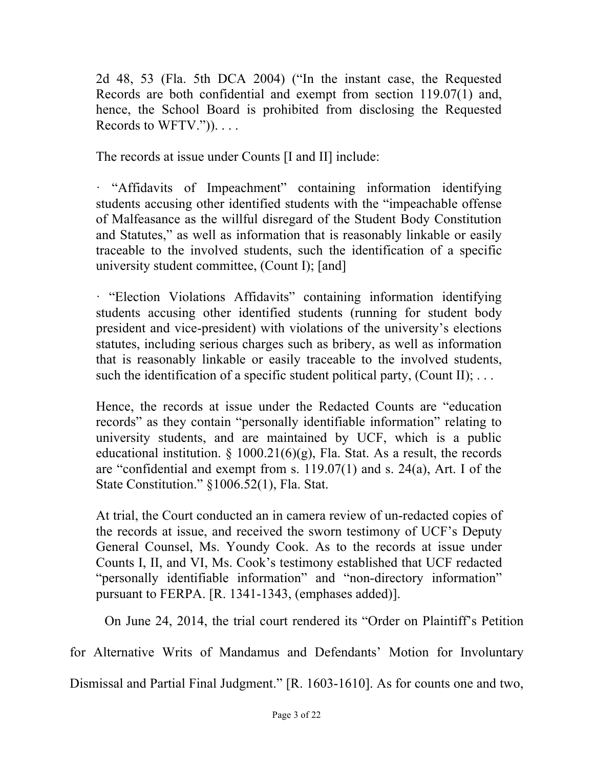2d 48, 53 (Fla. 5th DCA 2004) ("In the instant case, the Requested Records are both confidential and exempt from section 119.07(1) and, hence, the School Board is prohibited from disclosing the Requested Records to WFTV.")). . . .

The records at issue under Counts [I and II] include:

· "Affidavits of Impeachment" containing information identifying students accusing other identified students with the "impeachable offense of Malfeasance as the willful disregard of the Student Body Constitution and Statutes," as well as information that is reasonably linkable or easily traceable to the involved students, such the identification of a specific university student committee, (Count I); [and]

· "Election Violations Affidavits" containing information identifying students accusing other identified students (running for student body president and vice-president) with violations of the university's elections statutes, including serious charges such as bribery, as well as information that is reasonably linkable or easily traceable to the involved students, such the identification of a specific student political party, (Count II);  $\dots$ 

Hence, the records at issue under the Redacted Counts are "education records" as they contain "personally identifiable information" relating to university students, and are maintained by UCF, which is a public educational institution.  $\S$  1000.21(6)(g), Fla. Stat. As a result, the records are "confidential and exempt from s. 119.07(1) and s. 24(a), Art. I of the State Constitution." §1006.52(1), Fla. Stat.

At trial, the Court conducted an in camera review of un-redacted copies of the records at issue, and received the sworn testimony of UCF's Deputy General Counsel, Ms. Youndy Cook. As to the records at issue under Counts I, II, and VI, Ms. Cook's testimony established that UCF redacted "personally identifiable information" and "non-directory information" pursuant to FERPA. [R. 1341-1343, (emphases added)].

On June 24, 2014, the trial court rendered its "Order on Plaintiff's Petition

for Alternative Writs of Mandamus and Defendants' Motion for Involuntary

Dismissal and Partial Final Judgment." [R. 1603-1610]. As for counts one and two,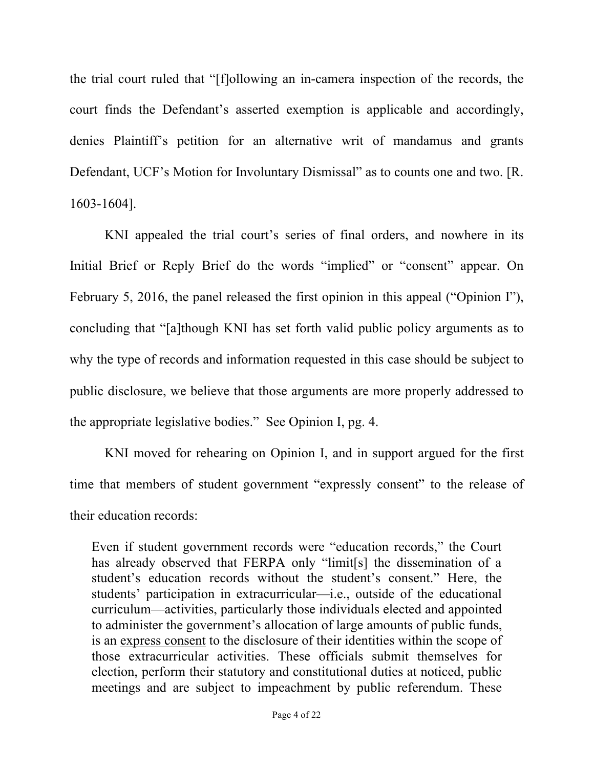the trial court ruled that "[f]ollowing an in-camera inspection of the records, the court finds the Defendant's asserted exemption is applicable and accordingly, denies Plaintiff's petition for an alternative writ of mandamus and grants Defendant, UCF's Motion for Involuntary Dismissal" as to counts one and two. [R. 1603-1604].

KNI appealed the trial court's series of final orders, and nowhere in its Initial Brief or Reply Brief do the words "implied" or "consent" appear. On February 5, 2016, the panel released the first opinion in this appeal ("Opinion I"), concluding that "[a]though KNI has set forth valid public policy arguments as to why the type of records and information requested in this case should be subject to public disclosure, we believe that those arguments are more properly addressed to the appropriate legislative bodies." See Opinion I, pg. 4.

KNI moved for rehearing on Opinion I, and in support argued for the first time that members of student government "expressly consent" to the release of their education records:

Even if student government records were "education records," the Court has already observed that FERPA only "limit[s] the dissemination of a student's education records without the student's consent." Here, the students' participation in extracurricular—i.e., outside of the educational curriculum—activities, particularly those individuals elected and appointed to administer the government's allocation of large amounts of public funds, is an express consent to the disclosure of their identities within the scope of those extracurricular activities. These officials submit themselves for election, perform their statutory and constitutional duties at noticed, public meetings and are subject to impeachment by public referendum. These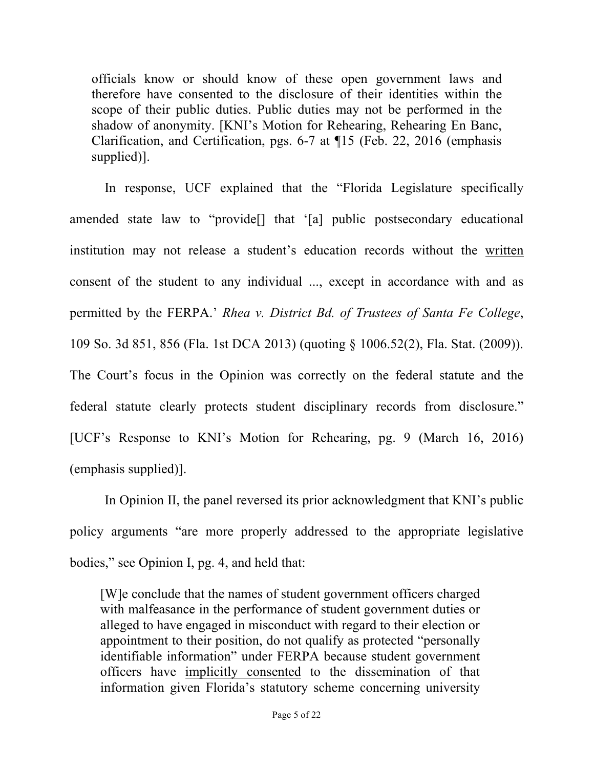officials know or should know of these open government laws and therefore have consented to the disclosure of their identities within the scope of their public duties. Public duties may not be performed in the shadow of anonymity. [KNI's Motion for Rehearing, Rehearing En Banc, Clarification, and Certification, pgs. 6-7 at ¶15 (Feb. 22, 2016 (emphasis supplied)].

In response, UCF explained that the "Florida Legislature specifically amended state law to "provide[] that '[a] public postsecondary educational institution may not release a student's education records without the written consent of the student to any individual ..., except in accordance with and as permitted by the FERPA.' *Rhea v. District Bd. of Trustees of Santa Fe College*, 109 So. 3d 851, 856 (Fla. 1st DCA 2013) (quoting § 1006.52(2), Fla. Stat. (2009)). The Court's focus in the Opinion was correctly on the federal statute and the federal statute clearly protects student disciplinary records from disclosure." [UCF's Response to KNI's Motion for Rehearing, pg. 9 (March 16, 2016) (emphasis supplied)].

In Opinion II, the panel reversed its prior acknowledgment that KNI's public policy arguments "are more properly addressed to the appropriate legislative bodies," see Opinion I, pg. 4, and held that:

[W]e conclude that the names of student government officers charged with malfeasance in the performance of student government duties or alleged to have engaged in misconduct with regard to their election or appointment to their position, do not qualify as protected "personally identifiable information" under FERPA because student government officers have implicitly consented to the dissemination of that information given Florida's statutory scheme concerning university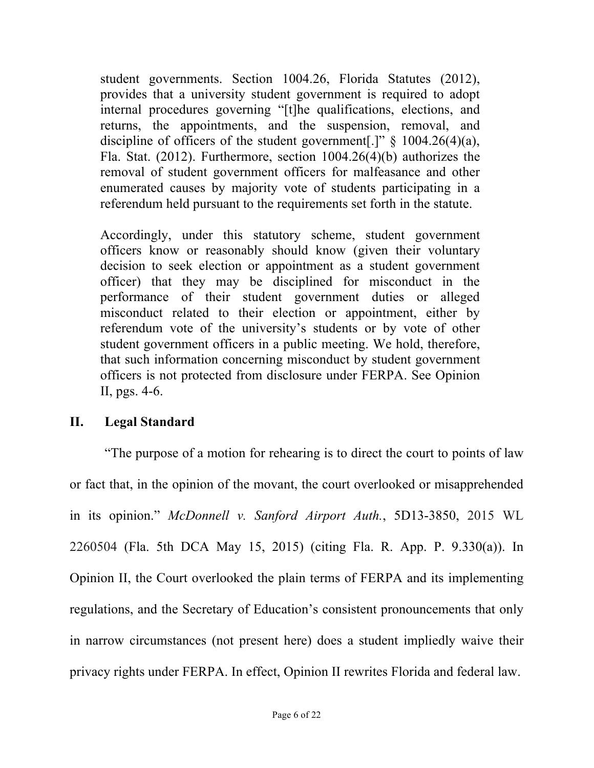student governments. Section 1004.26, Florida Statutes (2012), provides that a university student government is required to adopt internal procedures governing "[t]he qualifications, elections, and returns, the appointments, and the suspension, removal, and discipline of officers of the student government[.]"  $\S$  1004.26(4)(a), Fla. Stat. (2012). Furthermore, section 1004.26(4)(b) authorizes the removal of student government officers for malfeasance and other enumerated causes by majority vote of students participating in a referendum held pursuant to the requirements set forth in the statute.

Accordingly, under this statutory scheme, student government officers know or reasonably should know (given their voluntary decision to seek election or appointment as a student government officer) that they may be disciplined for misconduct in the performance of their student government duties or alleged misconduct related to their election or appointment, either by referendum vote of the university's students or by vote of other student government officers in a public meeting. We hold, therefore, that such information concerning misconduct by student government officers is not protected from disclosure under FERPA. See Opinion II, pgs. 4-6.

## **II. Legal Standard**

"The purpose of a motion for rehearing is to direct the court to points of law or fact that, in the opinion of the movant, the court overlooked or misapprehended in its opinion." *McDonnell v. Sanford Airport Auth.*, 5D13-3850, 2015 WL 2260504 (Fla. 5th DCA May 15, 2015) (citing Fla. R. App. P. 9.330(a)). In Opinion II, the Court overlooked the plain terms of FERPA and its implementing regulations, and the Secretary of Education's consistent pronouncements that only in narrow circumstances (not present here) does a student impliedly waive their privacy rights under FERPA. In effect, Opinion II rewrites Florida and federal law.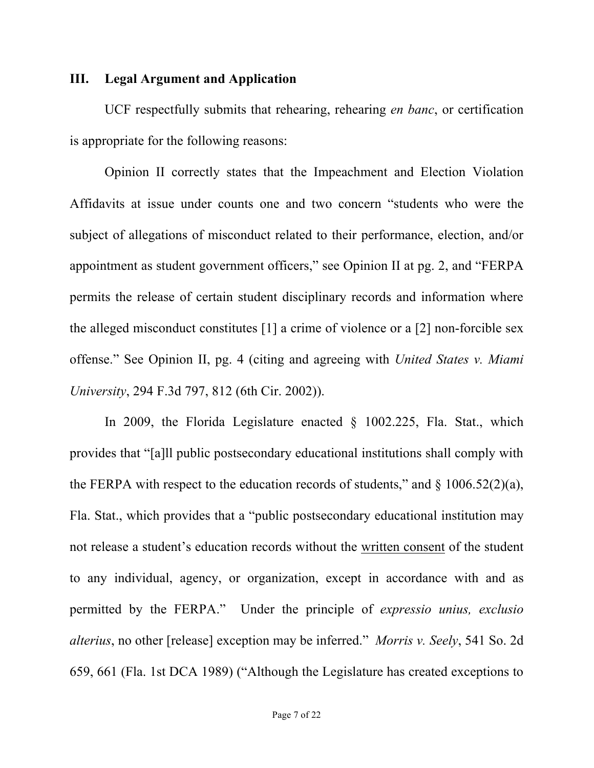## **III. Legal Argument and Application**

UCF respectfully submits that rehearing, rehearing *en banc*, or certification is appropriate for the following reasons:

Opinion II correctly states that the Impeachment and Election Violation Affidavits at issue under counts one and two concern "students who were the subject of allegations of misconduct related to their performance, election, and/or appointment as student government officers," see Opinion II at pg. 2, and "FERPA permits the release of certain student disciplinary records and information where the alleged misconduct constitutes [1] a crime of violence or a [2] non-forcible sex offense." See Opinion II, pg. 4 (citing and agreeing with *United States v. Miami University*, 294 F.3d 797, 812 (6th Cir. 2002)).

In 2009, the Florida Legislature enacted § 1002.225, Fla. Stat., which provides that "[a]ll public postsecondary educational institutions shall comply with the FERPA with respect to the education records of students," and  $\S$  1006.52(2)(a), Fla. Stat., which provides that a "public postsecondary educational institution may not release a student's education records without the written consent of the student to any individual, agency, or organization, except in accordance with and as permitted by the FERPA." Under the principle of *expressio unius, exclusio alterius*, no other [release] exception may be inferred." *Morris v. Seely*, 541 So. 2d 659, 661 (Fla. 1st DCA 1989) ("Although the Legislature has created exceptions to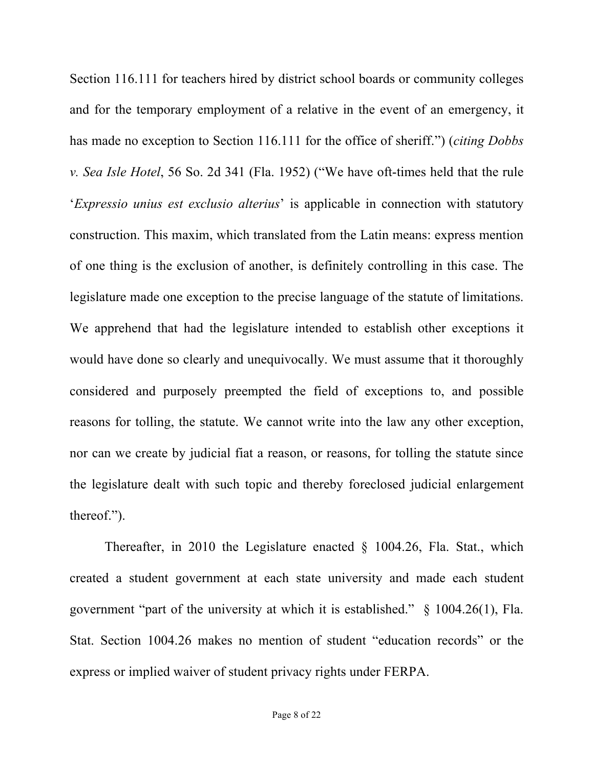Section 116.111 for teachers hired by district school boards or community colleges and for the temporary employment of a relative in the event of an emergency, it has made no exception to Section 116.111 for the office of sheriff.") (*citing Dobbs v. Sea Isle Hotel*, 56 So. 2d 341 (Fla. 1952) ("We have oft-times held that the rule '*Expressio unius est exclusio alterius*' is applicable in connection with statutory construction. This maxim, which translated from the Latin means: express mention of one thing is the exclusion of another, is definitely controlling in this case. The legislature made one exception to the precise language of the statute of limitations. We apprehend that had the legislature intended to establish other exceptions it would have done so clearly and unequivocally. We must assume that it thoroughly considered and purposely preempted the field of exceptions to, and possible reasons for tolling, the statute. We cannot write into the law any other exception, nor can we create by judicial fiat a reason, or reasons, for tolling the statute since the legislature dealt with such topic and thereby foreclosed judicial enlargement thereof.").

Thereafter, in 2010 the Legislature enacted § 1004.26, Fla. Stat., which created a student government at each state university and made each student government "part of the university at which it is established." § 1004.26(1), Fla. Stat. Section 1004.26 makes no mention of student "education records" or the express or implied waiver of student privacy rights under FERPA.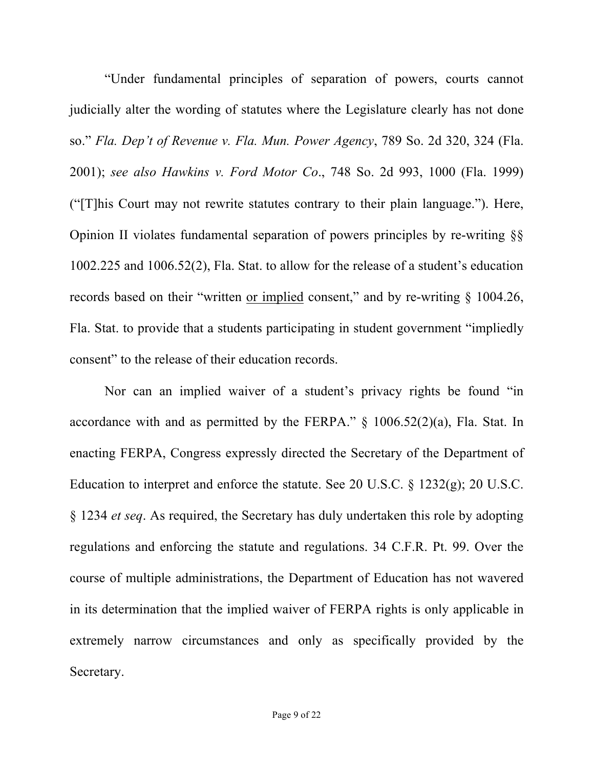"Under fundamental principles of separation of powers, courts cannot judicially alter the wording of statutes where the Legislature clearly has not done so." *Fla. Dep't of Revenue v. Fla. Mun. Power Agency*, 789 So. 2d 320, 324 (Fla. 2001); *see also Hawkins v. Ford Motor Co*., 748 So. 2d 993, 1000 (Fla. 1999) ("[T]his Court may not rewrite statutes contrary to their plain language."). Here, Opinion II violates fundamental separation of powers principles by re-writing §§ 1002.225 and 1006.52(2), Fla. Stat. to allow for the release of a student's education records based on their "written or implied consent," and by re-writing § 1004.26, Fla. Stat. to provide that a students participating in student government "impliedly consent" to the release of their education records.

Nor can an implied waiver of a student's privacy rights be found "in accordance with and as permitted by the FERPA." § 1006.52(2)(a), Fla. Stat. In enacting FERPA, Congress expressly directed the Secretary of the Department of Education to interpret and enforce the statute. See 20 U.S.C. § 1232(g); 20 U.S.C. § 1234 *et seq*. As required, the Secretary has duly undertaken this role by adopting regulations and enforcing the statute and regulations. 34 C.F.R. Pt. 99. Over the course of multiple administrations, the Department of Education has not wavered in its determination that the implied waiver of FERPA rights is only applicable in extremely narrow circumstances and only as specifically provided by the Secretary.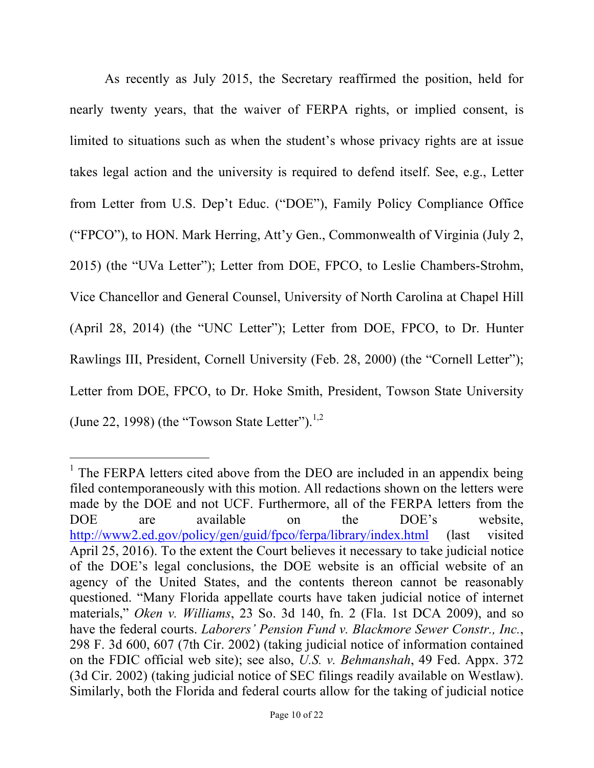As recently as July 2015, the Secretary reaffirmed the position, held for nearly twenty years, that the waiver of FERPA rights, or implied consent, is limited to situations such as when the student's whose privacy rights are at issue takes legal action and the university is required to defend itself. See, e.g., Letter from Letter from U.S. Dep't Educ. ("DOE"), Family Policy Compliance Office ("FPCO"), to HON. Mark Herring, Att'y Gen., Commonwealth of Virginia (July 2, 2015) (the "UVa Letter"); Letter from DOE, FPCO, to Leslie Chambers-Strohm, Vice Chancellor and General Counsel, University of North Carolina at Chapel Hill (April 28, 2014) (the "UNC Letter"); Letter from DOE, FPCO, to Dr. Hunter Rawlings III, President, Cornell University (Feb. 28, 2000) (the "Cornell Letter"); Letter from DOE, FPCO, to Dr. Hoke Smith, President, Towson State University (June 22, 1998) (the "Towson State Letter").<sup>1,2</sup>

<u>.</u>

 $1$  The FERPA letters cited above from the DEO are included in an appendix being filed contemporaneously with this motion. All redactions shown on the letters were made by the DOE and not UCF. Furthermore, all of the FERPA letters from the DOE are available on the DOE's website, http://www2.ed.gov/policy/gen/guid/fpco/ferpa/library/index.html (last visited April 25, 2016). To the extent the Court believes it necessary to take judicial notice of the DOE's legal conclusions, the DOE website is an official website of an agency of the United States, and the contents thereon cannot be reasonably questioned. "Many Florida appellate courts have taken judicial notice of internet materials," *Oken v. Williams*, 23 So. 3d 140, fn. 2 (Fla. 1st DCA 2009), and so have the federal courts. *Laborers' Pension Fund v. Blackmore Sewer Constr., Inc.*, 298 F. 3d 600, 607 (7th Cir. 2002) (taking judicial notice of information contained on the FDIC official web site); see also, *U.S. v. Behmanshah*, 49 Fed. Appx. 372 (3d Cir. 2002) (taking judicial notice of SEC filings readily available on Westlaw). Similarly, both the Florida and federal courts allow for the taking of judicial notice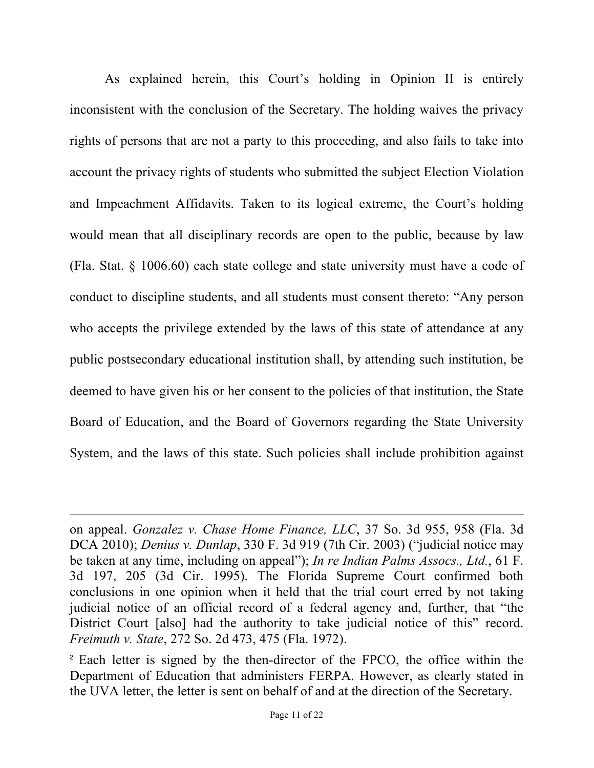As explained herein, this Court's holding in Opinion II is entirely inconsistent with the conclusion of the Secretary. The holding waives the privacy rights of persons that are not a party to this proceeding, and also fails to take into account the privacy rights of students who submitted the subject Election Violation and Impeachment Affidavits. Taken to its logical extreme, the Court's holding would mean that all disciplinary records are open to the public, because by law (Fla. Stat. § 1006.60) each state college and state university must have a code of conduct to discipline students, and all students must consent thereto: "Any person who accepts the privilege extended by the laws of this state of attendance at any public postsecondary educational institution shall, by attending such institution, be deemed to have given his or her consent to the policies of that institution, the State Board of Education, and the Board of Governors regarding the State University System, and the laws of this state. Such policies shall include prohibition against

 $\overline{a}$ 

on appeal. *Gonzalez v. Chase Home Finance, LLC*, 37 So. 3d 955, 958 (Fla. 3d DCA 2010); *Denius v. Dunlap*, 330 F. 3d 919 (7th Cir. 2003) ("judicial notice may be taken at any time, including on appeal"); *In re Indian Palms Assocs., Ltd.*, 61 F. 3d 197, 205 (3d Cir. 1995). The Florida Supreme Court confirmed both conclusions in one opinion when it held that the trial court erred by not taking judicial notice of an official record of a federal agency and, further, that "the District Court [also] had the authority to take judicial notice of this" record. *Freimuth v. State*, 272 So. 2d 473, 475 (Fla. 1972).

<sup>2</sup> Each letter is signed by the then-director of the FPCO, the office within the Department of Education that administers FERPA. However, as clearly stated in the UVA letter, the letter is sent on behalf of and at the direction of the Secretary.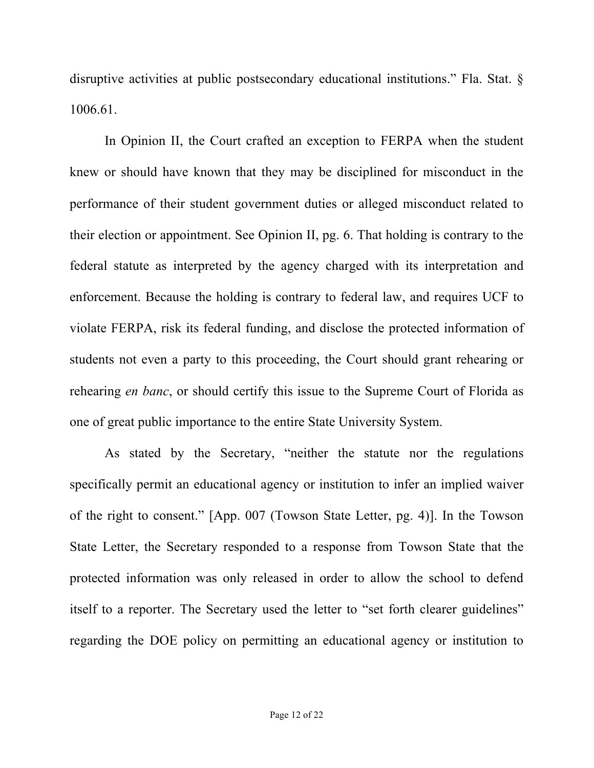disruptive activities at public postsecondary educational institutions." Fla. Stat. § 1006.61.

In Opinion II, the Court crafted an exception to FERPA when the student knew or should have known that they may be disciplined for misconduct in the performance of their student government duties or alleged misconduct related to their election or appointment. See Opinion II, pg. 6. That holding is contrary to the federal statute as interpreted by the agency charged with its interpretation and enforcement. Because the holding is contrary to federal law, and requires UCF to violate FERPA, risk its federal funding, and disclose the protected information of students not even a party to this proceeding, the Court should grant rehearing or rehearing *en banc*, or should certify this issue to the Supreme Court of Florida as one of great public importance to the entire State University System.

As stated by the Secretary, "neither the statute nor the regulations specifically permit an educational agency or institution to infer an implied waiver of the right to consent." [App. 007 (Towson State Letter, pg. 4)]. In the Towson State Letter, the Secretary responded to a response from Towson State that the protected information was only released in order to allow the school to defend itself to a reporter. The Secretary used the letter to "set forth clearer guidelines" regarding the DOE policy on permitting an educational agency or institution to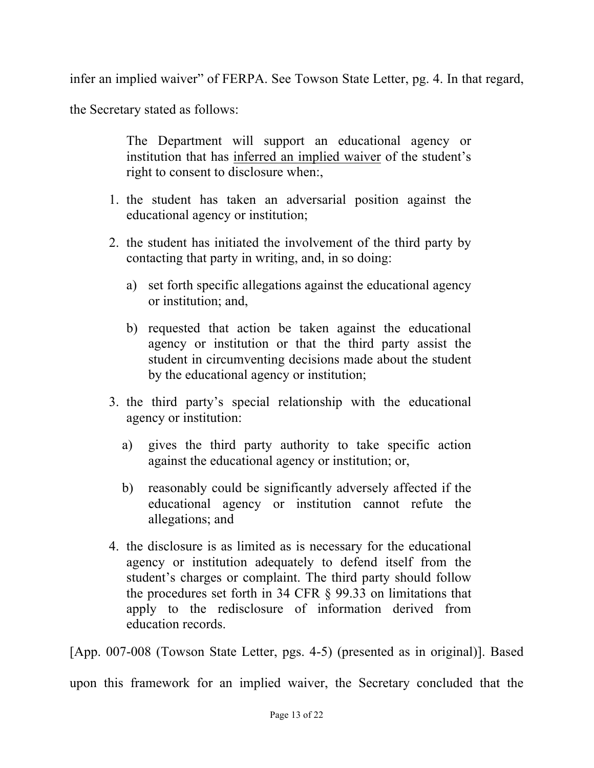infer an implied waiver" of FERPA. See Towson State Letter, pg. 4. In that regard,

the Secretary stated as follows:

The Department will support an educational agency or institution that has inferred an implied waiver of the student's right to consent to disclosure when:,

- 1. the student has taken an adversarial position against the educational agency or institution;
- 2. the student has initiated the involvement of the third party by contacting that party in writing, and, in so doing:
	- a) set forth specific allegations against the educational agency or institution; and,
	- b) requested that action be taken against the educational agency or institution or that the third party assist the student in circumventing decisions made about the student by the educational agency or institution;
- 3. the third party's special relationship with the educational agency or institution:
	- a) gives the third party authority to take specific action against the educational agency or institution; or,
	- b) reasonably could be significantly adversely affected if the educational agency or institution cannot refute the allegations; and
- 4. the disclosure is as limited as is necessary for the educational agency or institution adequately to defend itself from the student's charges or complaint. The third party should follow the procedures set forth in 34 CFR § 99.33 on limitations that apply to the redisclosure of information derived from education records.

[App. 007-008 (Towson State Letter, pgs. 4-5) (presented as in original)]. Based upon this framework for an implied waiver, the Secretary concluded that the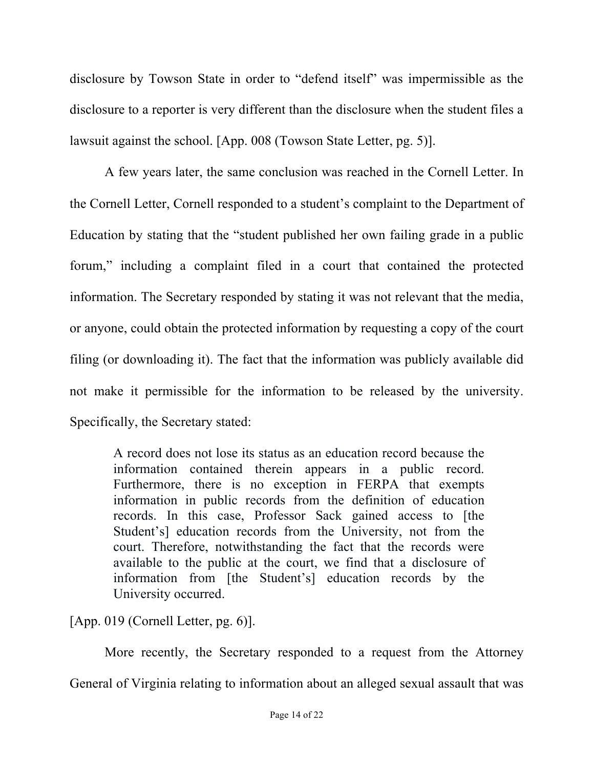disclosure by Towson State in order to "defend itself" was impermissible as the disclosure to a reporter is very different than the disclosure when the student files a lawsuit against the school. [App. 008 (Towson State Letter, pg. 5)].

A few years later, the same conclusion was reached in the Cornell Letter. In the Cornell Letter, Cornell responded to a student's complaint to the Department of Education by stating that the "student published her own failing grade in a public forum," including a complaint filed in a court that contained the protected information. The Secretary responded by stating it was not relevant that the media, or anyone, could obtain the protected information by requesting a copy of the court filing (or downloading it). The fact that the information was publicly available did not make it permissible for the information to be released by the university. Specifically, the Secretary stated:

A record does not lose its status as an education record because the information contained therein appears in a public record. Furthermore, there is no exception in FERPA that exempts information in public records from the definition of education records. In this case, Professor Sack gained access to [the Student's] education records from the University, not from the court. Therefore, notwithstanding the fact that the records were available to the public at the court, we find that a disclosure of information from [the Student's] education records by the University occurred.

[App. 019 (Cornell Letter, pg. 6)].

More recently, the Secretary responded to a request from the Attorney General of Virginia relating to information about an alleged sexual assault that was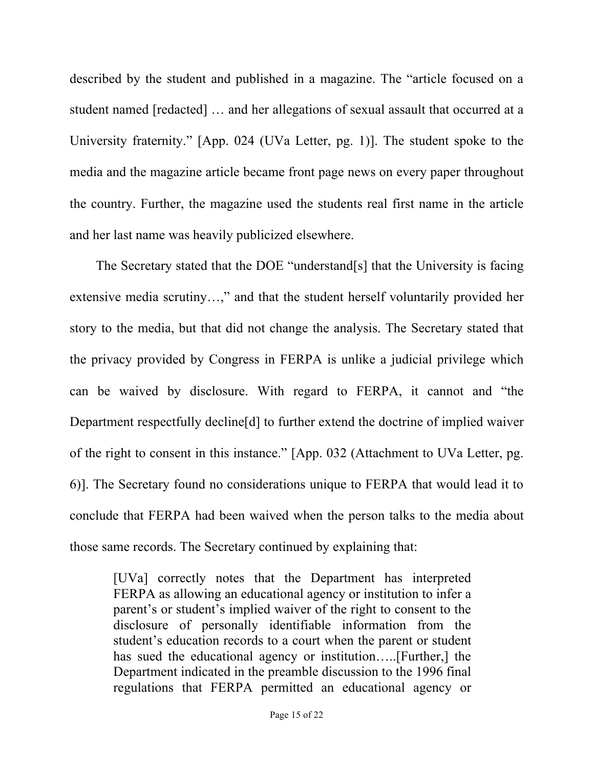described by the student and published in a magazine. The "article focused on a student named [redacted] … and her allegations of sexual assault that occurred at a University fraternity." [App. 024 (UVa Letter, pg. 1)]. The student spoke to the media and the magazine article became front page news on every paper throughout the country. Further, the magazine used the students real first name in the article and her last name was heavily publicized elsewhere.

The Secretary stated that the DOE "understand[s] that the University is facing extensive media scrutiny…," and that the student herself voluntarily provided her story to the media, but that did not change the analysis. The Secretary stated that the privacy provided by Congress in FERPA is unlike a judicial privilege which can be waived by disclosure. With regard to FERPA, it cannot and "the Department respectfully decline[d] to further extend the doctrine of implied waiver of the right to consent in this instance." [App. 032 (Attachment to UVa Letter, pg. 6)]. The Secretary found no considerations unique to FERPA that would lead it to conclude that FERPA had been waived when the person talks to the media about those same records. The Secretary continued by explaining that:

[UVa] correctly notes that the Department has interpreted FERPA as allowing an educational agency or institution to infer a parent's or student's implied waiver of the right to consent to the disclosure of personally identifiable information from the student's education records to a court when the parent or student has sued the educational agency or institution…..[Further,] the Department indicated in the preamble discussion to the 1996 final regulations that FERPA permitted an educational agency or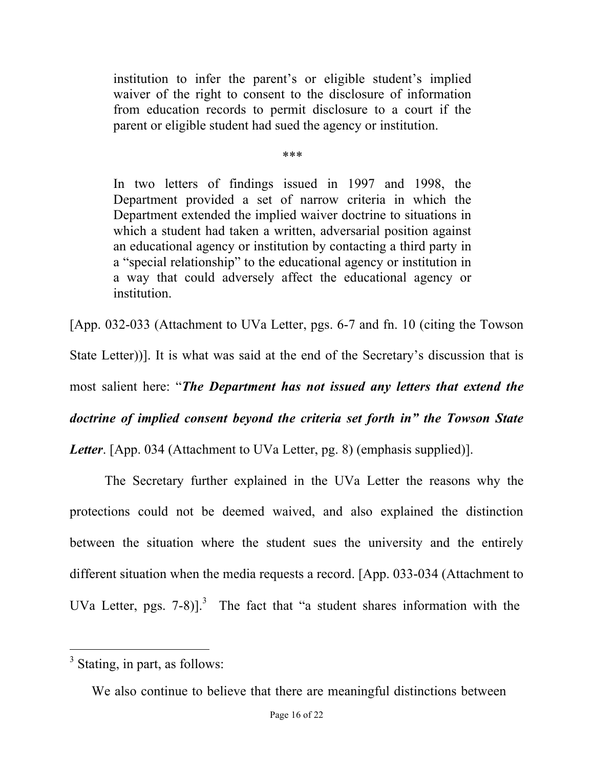institution to infer the parent's or eligible student's implied waiver of the right to consent to the disclosure of information from education records to permit disclosure to a court if the parent or eligible student had sued the agency or institution.

\*\*\*

In two letters of findings issued in 1997 and 1998, the Department provided a set of narrow criteria in which the Department extended the implied waiver doctrine to situations in which a student had taken a written, adversarial position against an educational agency or institution by contacting a third party in a "special relationship" to the educational agency or institution in a way that could adversely affect the educational agency or institution.

[App. 032-033 (Attachment to UVa Letter, pgs. 6-7 and fn. 10 (citing the Towson State Letter))]. It is what was said at the end of the Secretary's discussion that is most salient here: "*The Department has not issued any letters that extend the doctrine of implied consent beyond the criteria set forth in" the Towson State Letter*. [App. 034 (Attachment to UVa Letter, pg. 8) (emphasis supplied)].

The Secretary further explained in the UVa Letter the reasons why the protections could not be deemed waived, and also explained the distinction between the situation where the student sues the university and the entirely different situation when the media requests a record. [App. 033-034 (Attachment to UVa Letter, pgs.  $7-8$ ].<sup>3</sup> The fact that "a student shares information with the

<sup>&</sup>lt;sup>3</sup> Stating, in part, as follows:

We also continue to believe that there are meaningful distinctions between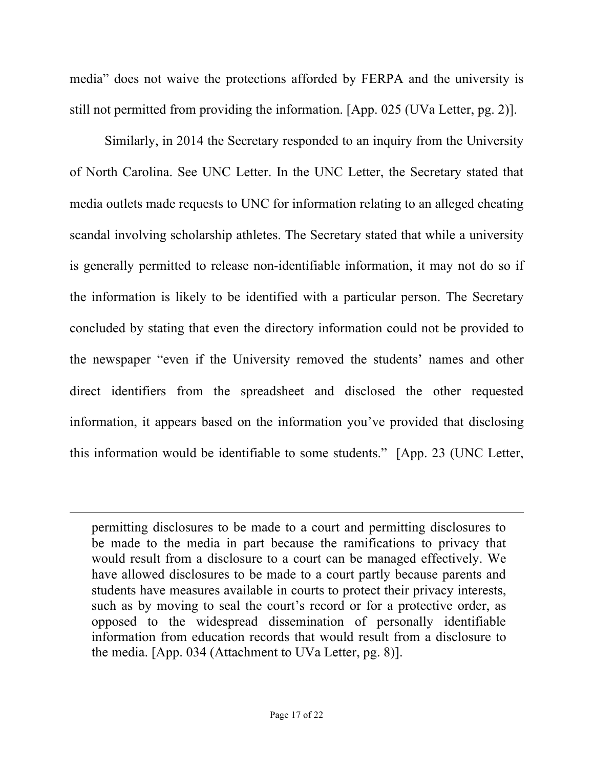media" does not waive the protections afforded by FERPA and the university is still not permitted from providing the information. [App. 025 (UVa Letter, pg. 2)].

Similarly, in 2014 the Secretary responded to an inquiry from the University of North Carolina. See UNC Letter. In the UNC Letter, the Secretary stated that media outlets made requests to UNC for information relating to an alleged cheating scandal involving scholarship athletes. The Secretary stated that while a university is generally permitted to release non-identifiable information, it may not do so if the information is likely to be identified with a particular person. The Secretary concluded by stating that even the directory information could not be provided to the newspaper "even if the University removed the students' names and other direct identifiers from the spreadsheet and disclosed the other requested information, it appears based on the information you've provided that disclosing this information would be identifiable to some students." [App. 23 (UNC Letter,

permitting disclosures to be made to a court and permitting disclosures to be made to the media in part because the ramifications to privacy that would result from a disclosure to a court can be managed effectively. We have allowed disclosures to be made to a court partly because parents and students have measures available in courts to protect their privacy interests, such as by moving to seal the court's record or for a protective order, as opposed to the widespread dissemination of personally identifiable information from education records that would result from a disclosure to the media. [App. 034 (Attachment to UVa Letter, pg. 8)].

 $\overline{a}$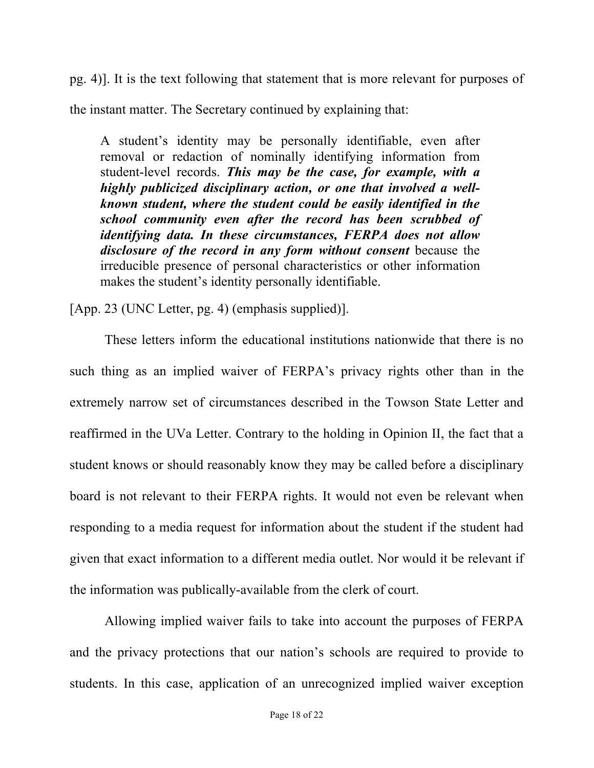pg. 4)]. It is the text following that statement that is more relevant for purposes of

the instant matter. The Secretary continued by explaining that:

A student's identity may be personally identifiable, even after removal or redaction of nominally identifying information from student-level records. *This may be the case, for example, with a highly publicized disciplinary action, or one that involved a wellknown student, where the student could be easily identified in the school community even after the record has been scrubbed of identifying data. In these circumstances, FERPA does not allow disclosure of the record in any form without consent* because the irreducible presence of personal characteristics or other information makes the student's identity personally identifiable.

[App. 23 (UNC Letter, pg. 4) (emphasis supplied)].

These letters inform the educational institutions nationwide that there is no such thing as an implied waiver of FERPA's privacy rights other than in the extremely narrow set of circumstances described in the Towson State Letter and reaffirmed in the UVa Letter. Contrary to the holding in Opinion II, the fact that a student knows or should reasonably know they may be called before a disciplinary board is not relevant to their FERPA rights. It would not even be relevant when responding to a media request for information about the student if the student had given that exact information to a different media outlet. Nor would it be relevant if the information was publically-available from the clerk of court.

Allowing implied waiver fails to take into account the purposes of FERPA and the privacy protections that our nation's schools are required to provide to students. In this case, application of an unrecognized implied waiver exception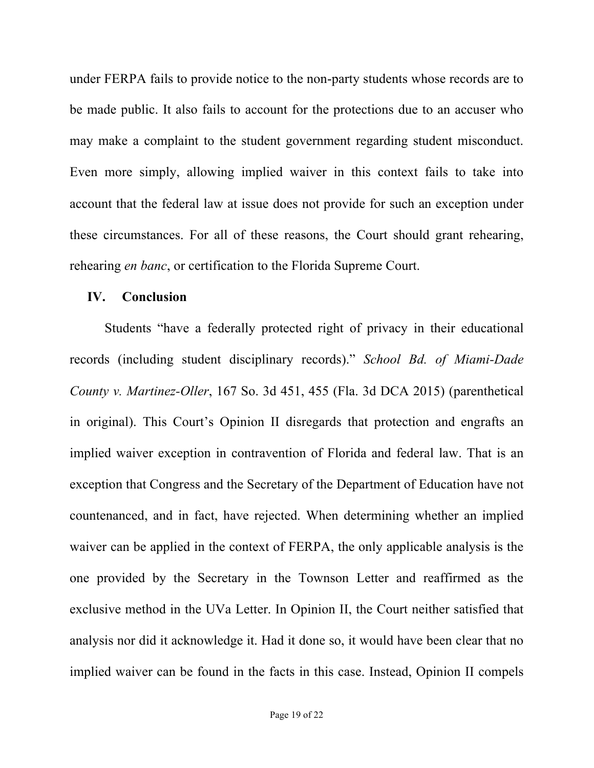under FERPA fails to provide notice to the non-party students whose records are to be made public. It also fails to account for the protections due to an accuser who may make a complaint to the student government regarding student misconduct. Even more simply, allowing implied waiver in this context fails to take into account that the federal law at issue does not provide for such an exception under these circumstances. For all of these reasons, the Court should grant rehearing, rehearing *en banc*, or certification to the Florida Supreme Court.

#### **IV. Conclusion**

Students "have a federally protected right of privacy in their educational records (including student disciplinary records)." *School Bd. of Miami-Dade County v. Martinez-Oller*, 167 So. 3d 451, 455 (Fla. 3d DCA 2015) (parenthetical in original). This Court's Opinion II disregards that protection and engrafts an implied waiver exception in contravention of Florida and federal law. That is an exception that Congress and the Secretary of the Department of Education have not countenanced, and in fact, have rejected. When determining whether an implied waiver can be applied in the context of FERPA, the only applicable analysis is the one provided by the Secretary in the Townson Letter and reaffirmed as the exclusive method in the UVa Letter. In Opinion II, the Court neither satisfied that analysis nor did it acknowledge it. Had it done so, it would have been clear that no implied waiver can be found in the facts in this case. Instead, Opinion II compels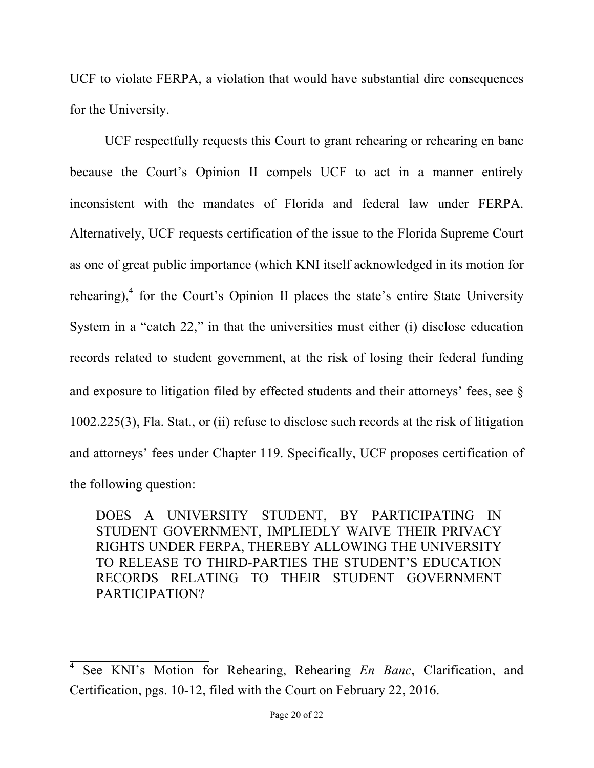UCF to violate FERPA, a violation that would have substantial dire consequences for the University.

UCF respectfully requests this Court to grant rehearing or rehearing en banc because the Court's Opinion II compels UCF to act in a manner entirely inconsistent with the mandates of Florida and federal law under FERPA. Alternatively, UCF requests certification of the issue to the Florida Supreme Court as one of great public importance (which KNI itself acknowledged in its motion for rehearing), $<sup>4</sup>$  for the Court's Opinion II places the state's entire State University</sup> System in a "catch 22," in that the universities must either (i) disclose education records related to student government, at the risk of losing their federal funding and exposure to litigation filed by effected students and their attorneys' fees, see § 1002.225(3), Fla. Stat., or (ii) refuse to disclose such records at the risk of litigation and attorneys' fees under Chapter 119. Specifically, UCF proposes certification of the following question:

DOES A UNIVERSITY STUDENT, BY PARTICIPATING IN STUDENT GOVERNMENT, IMPLIEDLY WAIVE THEIR PRIVACY RIGHTS UNDER FERPA, THEREBY ALLOWING THE UNIVERSITY TO RELEASE TO THIRD-PARTIES THE STUDENT'S EDUCATION RECORDS RELATING TO THEIR STUDENT GOVERNMENT PARTICIPATION?

<sup>4</sup> See KNI's Motion for Rehearing, Rehearing *En Banc*, Clarification, and Certification, pgs. 10-12, filed with the Court on February 22, 2016.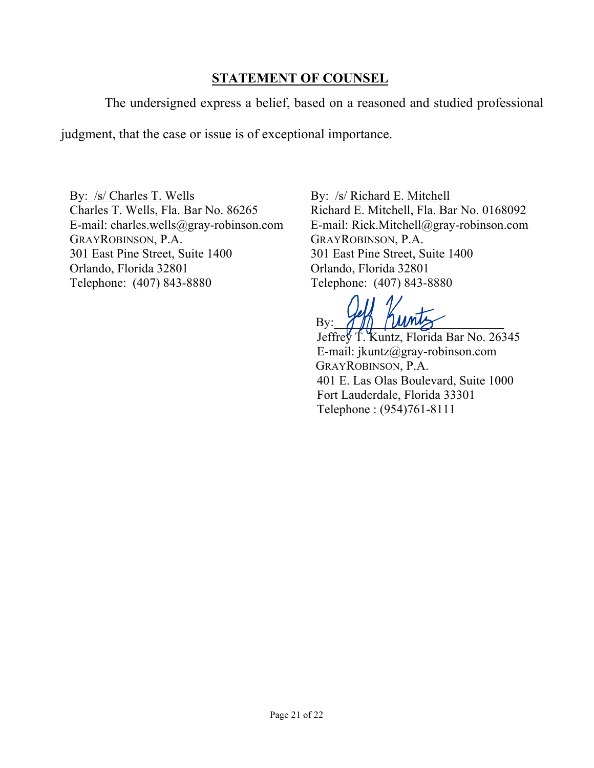## **STATEMENT OF COUNSEL**

The undersigned express a belief, based on a reasoned and studied professional

judgment, that the case or issue is of exceptional importance.

By: /s/ Charles T. Wells Charles T. Wells, Fla. Bar No. 86265 E-mail: charles.wells@gray-robinson.com GRAYROBINSON, P.A. 301 East Pine Street, Suite 1400 Orlando, Florida 32801 Telephone: (407) 843-8880

By: /s/ Richard E. Mitchell Richard E. Mitchell, Fla. Bar No. 0168092 E-mail: Rick.Mitchell@gray-robinson.com GRAYROBINSON, P.A. 301 East Pine Street, Suite 1400 Orlando, Florida 32801 Telephone: (407) 843-8880

 $\mathbf{B} \mathbf{y}$ :  $\mathcal{T} \mathbf{y}$   $\mathbf{y}$   $\mathbf{y}$ 

 Jeffrey T. Kuntz, Florida Bar No. 26345 E-mail: jkuntz@gray-robinson.com GRAYROBINSON, P.A. 401 E. Las Olas Boulevard, Suite 1000 Fort Lauderdale, Florida 33301 Telephone : (954)761-8111